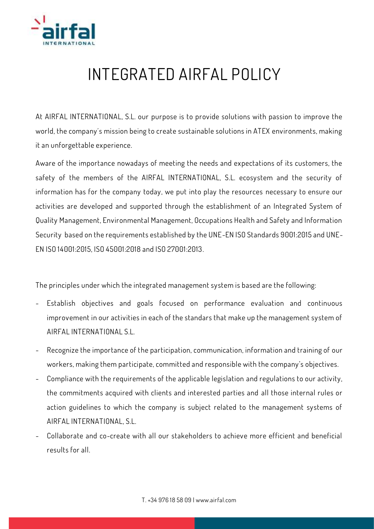

## **INTEGRATED AIRFAL POLICY**

**At AIRFAL INTERNATIONAL, S.L. our purpose is to provide solutions with passion to improve the world, the company´s mission being to create sustainable solutions in ATEX environments, making it an unforgettable experience.**

**Aware of the importance nowadays of meeting the needs and expectations of its customers, the safety of the members of the AIRFAL INTERNATIONAL, S.L. ecosystem and the security of information has for the company today, we put into play the resources necessary to ensure our activities are developed and supported through the establishment of an Integrated System of Quality Management, Environmental Management, Occupations Health and Safety and Information Security based on the requirements established by the UNE-EN ISO Standards 9001:2015 and UNE-EN ISO 14001:2015, ISO 45001:2018 and ISO 27001:2013.**

**The principles under which the integrated management system is based are the following:**

- **- Establish objectives and goals focused on performance evaluation and continuous improvement in our activities in each of the standars that make up the management system of AIRFAL INTERNATIONAL S.L.**
- **- Recognize the importance of the participation, communication, information and training of our workers, making them participate, committed and responsible with the company's objectives.**
- **- Compliance with the requirements of the applicable legislation and regulations to our activity, the commitments acquired with clients and interested parties and all those internal rules or action guidelines to which the company is subject related to the management systems of AIRFAL INTERNATIONAL, S.L.**
- **- Collaborate and co-create with all our stakeholders to achieve more efficient and beneficial results for all.**